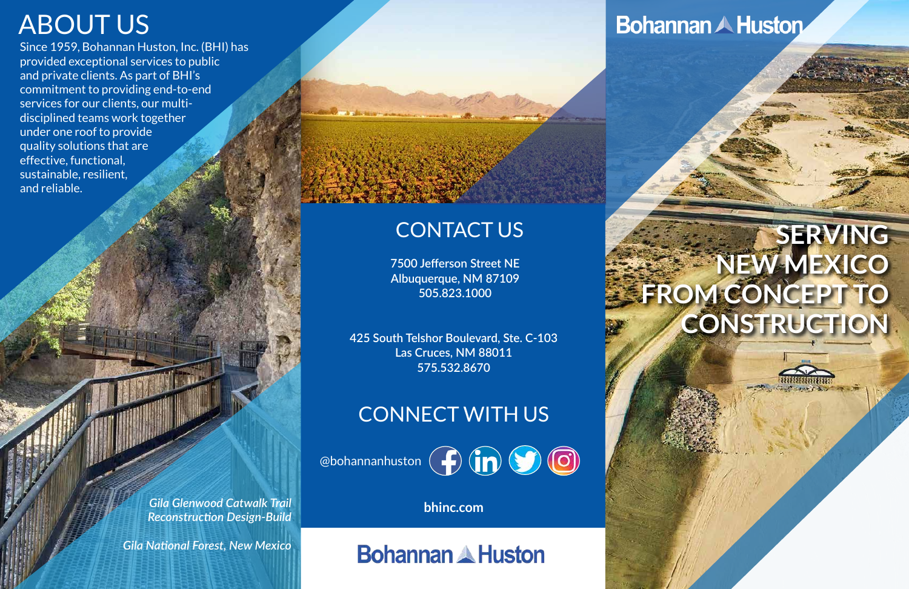**7500 Jefferson Street NE Albuquerque, NM 87109 505.823.1000**

**425 South Telshor Boulevard, Ste. C-103 Las Cruces, NM 88011 575.532.8670**

**bhinc.com**

**Bohannan & Huston** 

## CONTACT US

# CONNECT WITH US

@bohannanhuston (**f**) (**in**) (**o**)

# **SERVING NEW MEXICO** FROM CONCEPT TO **CONSTRUCTION**

# ABOUT US

Since 1959, Bohannan Huston, Inc. (BHI) has provided exceptional services to public and private clients. As part of BHI's commitment to providing end-to-end services for our clients, our multidisciplined teams work together under one roof to provide quality solutions that are effective, functional, sustainable, resilient, and reliable.

> *Gila Glenwood Catwalk Trail Reconstruction Design-Build*

*Gila National Forest, New Mexico*

# **Bohannan A Huston**